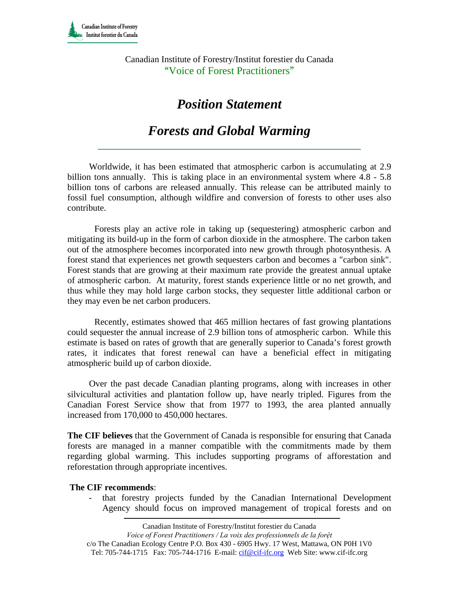Canadian Institute of Forestry/Institut forestier du Canada "Voice of Forest Practitioners"

## *Position Statement*

## *Forests and Global Warming*

Worldwide, it has been estimated that atmospheric carbon is accumulating at 2.9 billion tons annually. This is taking place in an environmental system where 4.8 - 5.8 billion tons of carbons are released annually. This release can be attributed mainly to fossil fuel consumption, although wildfire and conversion of forests to other uses also contribute.

Forests play an active role in taking up (sequestering) atmospheric carbon and mitigating its build-up in the form of carbon dioxide in the atmosphere. The carbon taken out of the atmosphere becomes incorporated into new growth through photosynthesis. A forest stand that experiences net growth sequesters carbon and becomes a "carbon sink". Forest stands that are growing at their maximum rate provide the greatest annual uptake of atmospheric carbon. At maturity, forest stands experience little or no net growth, and thus while they may hold large carbon stocks, they sequester little additional carbon or they may even be net carbon producers.

Recently, estimates showed that 465 million hectares of fast growing plantations could sequester the annual increase of 2.9 billion tons of atmospheric carbon. While this estimate is based on rates of growth that are generally superior to Canada's forest growth rates, it indicates that forest renewal can have a beneficial effect in mitigating atmospheric build up of carbon dioxide.

Over the past decade Canadian planting programs, along with increases in other silvicultural activities and plantation follow up, have nearly tripled. Figures from the Canadian Forest Service show that from 1977 to 1993, the area planted annually increased from 170,000 to 450,000 hectares.

**The CIF believes** that the Government of Canada is responsible for ensuring that Canada forests are managed in a manner compatible with the commitments made by them regarding global warming. This includes supporting programs of afforestation and reforestation through appropriate incentives.

## **The CIF recommends**:

- that forestry projects funded by the Canadian International Development Agency should focus on improved management of tropical forests and on

Canadian Institute of Forestry/Institut forestier du Canada

*Voice of Forest Practitioners / La voix des professionnels de la forệt* 

c/o The Canadian Ecology Centre P.O. Box 430 - 6905 Hwy. 17 West, Mattawa, ON P0H 1V0 Tel: 705-744-1715 Fax: 705-744-1716 E-mail: cif@cif-ifc.org Web Site: www.cif-ifc.org